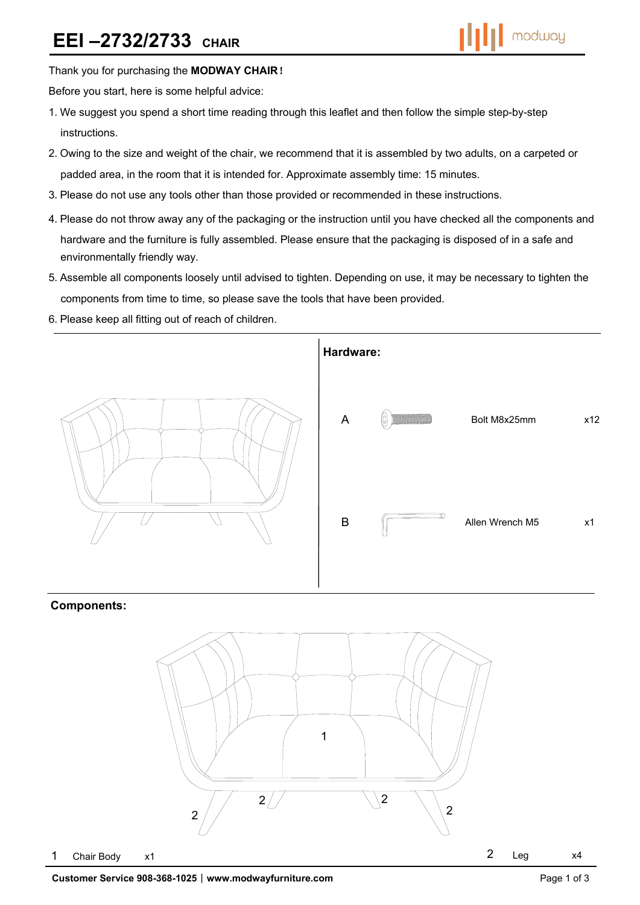Thank you for purchasing the **MODWAY CHAIR**!

Before you start, here is some helpful advice:

- 1.We suggest you spend a short time reading through this leaflet and then follow the simple step-by-step instructions.
- 2.Owing to the size and weight of the chair, we recommend that it is assembled by two adults, on a carpeted or padded area, in the room that it is intended for. Approximate assembly time: 15 minutes.
- 3.Please do not use any tools other than those provided or recommended in these instructions.
- 4.Please do not throw away any of the packaging or the instruction until you have checked all the components and hardware and the furniture is fully assembled. Please ensure that the packaging is disposed of in a safe and environmentally friendly way.
- 5.Assemble all components loosely until advised to tighten. Depending on use, it may be necessary to tighten the components from time to time, so please save the tools that have been provided.
- 6.Please keep all fitting out of reach of children.



### **Components:**

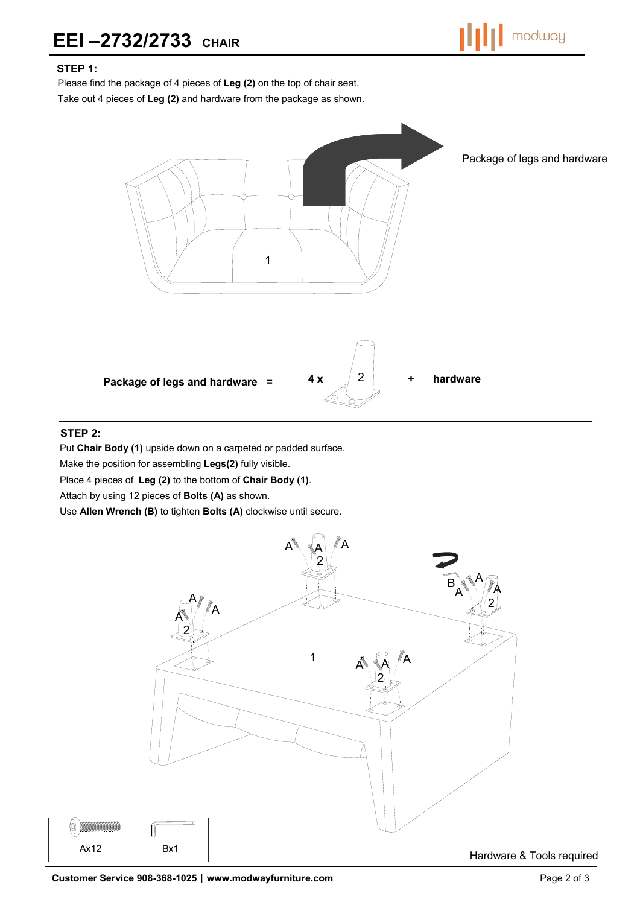## **EEI –2732/2733 CHAIR**



## **STEP 1:**

Please find the package of 4 pieces of **Leg (2)** on the top of chair seat.

Take out 4 pieces of **Leg (2)** and hardware from the package as shown.



#### **STEP 2:**

 $\bigcirc$ 

Put **Chair Body (1)** upside down on a carpeted or padded surface.

Make the position for assembling **Legs(2)** fully visible.

Place 4 pieces of **Leg (2)** to the bottom of **Chair Body (1)**.

Attach by using 12 pieces of **Bolts (A)** as shown.

Use **Allen Wrench (B)** to tighten **Bolts (A)** clockwise until secure.



Hardware & Tools required